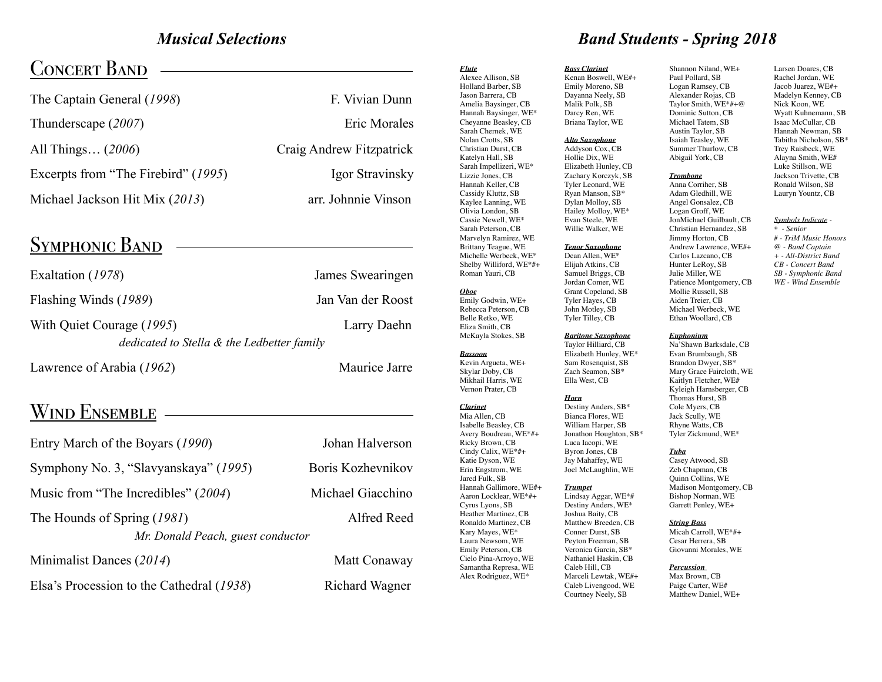## *Musical Selections*

## **CONCERT BAND**

| F. Vivian Dunn           |
|--------------------------|
| Eric Morales             |
| Craig Andrew Fitzpatrick |
| Igor Stravinsky          |
| arr. Johnnie Vinson      |
|                          |

## SYMPHONIC BAND

| Exaltation (1978)                          | James Swearingen  |
|--------------------------------------------|-------------------|
| Flashing Winds (1989)                      | Jan Van der Roost |
| With Quiet Courage (1995)                  | Larry Daehn       |
| dedicated to Stella & the Ledbetter family |                   |
| Lawrence of Arabia (1962)                  | Maurice Jarre     |

## WIND ENSEMBLE -

| Entry March of the Boyars (1990)                                                | Johan Halverson   |  |
|---------------------------------------------------------------------------------|-------------------|--|
| Symphony No. 3, "Slavyanskaya" (1995)                                           | Boris Kozhevnikov |  |
| Music from "The Incredibles" (2004)                                             | Michael Giacchino |  |
| Alfred Reed<br>The Hounds of Spring (1981)<br>Mr. Donald Peach, guest conductor |                   |  |
| Minimalist Dances (2014)                                                        | Matt Conaway      |  |
| Elsa's Procession to the Cathedral (1938)                                       | Richard Wagner    |  |

*Flute*  Alexee Allison, SB Holland Barber, SB Jason Barrera, CB Amelia Baysinger, CB Hannah Baysinger, WE\* Cheyanne Beasley, CB Sarah Chernek, WE Nolan Crotts, SB Christian Durst, CB Katelyn Hall, SB Sarah Impellizeri, WE\* Lizzie Jones, CB Hannah Keller, CB Cassidy Kluttz, SB Kaylee Lanning, WE Olivia London, SB Cassie Newell, WE\* Sarah Peterson, CB Marvelyn Ramirez, WE Brittany Teague, WE Michelle Werbeck, WE\* Shelby Williford, WE\*#+ Roman Yauri, CB *Oboe* Emily Godwin, WE+ Rebecca Peterson, CB Belle Retko, WE Eliza Smith, CB McKayla Stokes, SB *Bassoon* Kevin Argueta, WE+ Skylar Doby, CB Mikhail Harris, WE Vernon Prater, CB *Clarinet* Mia Allen, CB Isabelle Beasley, CB Avery Boudreau, WE\*#+ Ricky Brown, CB Cindy Calix, WE\*#+ Katie Dyson, WE Erin Engstrom, WE Jared Fulk, SB Hannah Gallimore, WE#+ Aaron Locklear, WE\*#+ Cyrus Lyons, SB Heather Martinez, CB Ronaldo Martinez, CB Kary Mayes, WE\* Laura Newsom, WE Emily Peterson, CB Cielo Pina-Arroyo, WE Samantha Represa, WE Alex Rodriguez, WE\*

## *Band Students - Spring 2018*

Kenan Boswell, WE#+ Emily Moreno, SB Dayanna Neely, SB Malik Polk, SB Darcy Ren, WE Briana Taylor, WE *Alto Saxophone* Addyson Cox, CB

Hollie Dix, WE Elizabeth Hunley, CB Zachary Korczyk, SB Tyler Leonard, WE Ryan Manson, SB\* Dylan Molloy, SB Hailey Molloy, WE\* Evan Steele, WE

#### Willie Walker, WE *Tenor Saxophone*

*Bass Clarinet*

Dean Allen, WE\* Elijah Atkins, CB Samuel Briggs, CB Jordan Comer, WE Grant Copeland, SB Tyler Hayes, CB John Motley, SB Tyler Tilley, CB

#### *Baritone Saxophone*

Taylor Hilliard, CB Elizabeth Hunley, WE\* Sam Rosenquist, SB Zach Seamon, SB<sup>\*</sup> Ella West, CB

#### *Horn*

Destiny Anders, SB\* Bianca Flores, WE William Harper, SB Jonathon Houghton, SB\* Luca Iacopi, WE Byron Jones, CB Jay Mahaffey, WE Joel McLaughlin, WE

#### *Trumpet* Lindsay Aggar, WE\*# Destiny Anders, WE\* Joshua Baity, CB

Matthew Breeden, CB Conner Durst, SB Peyton Freeman, SB Veronica Garcia, SB\* Nathaniel Haskin, CB Caleb Hill, CB Marceli Lewtak, WE#+ Caleb Livengood, WE Courtney Neely, SB

Shannon Niland, WE+ Paul Pollard, SB Logan Ramsey, CB Alexander Rojas, CB Taylor Smith, WE\*#+@ Dominic Sutton, CB Michael Tatem, SB Austin Taylor, SB Isaiah Teasley, WE Summer Thurlow, CB Abigail York, CB *Trombone*

Anna Corriher, SB Adam Gledhill, WE Angel Gonsalez, CB Logan Groff, WE JonMichael Guilbault, CB Christian Hernandez, SB Jimmy Horton, CB Andrew Lawrence, WE#+ Carlos Lazcano, CB Hunter LeRoy, SB Julie Miller, WE Patience Montgomery, CB Mollie Russell, SB

Larsen Doares, CB Rachel Jordan, WE Jacob Juarez, WE#+ Madelyn Kenney, CB Nick Koon, WE Wyatt Kuhnemann, SB Isaac McCullar, CB Hannah Newman, SB Tabitha Nicholson, SB\* Trey Raisbeck, WE Alayna Smith, WE# Luke Stillson, WE Jackson Trivette, CB Ronald Wilson, SB Lauryn Yountz, CB

#### *Symbols Indicate -*

*\* - Senior # - TriM Music Honors @ - Band Captain + - All-District Band CB - Concert Band SB - Symphonic Band WE - Wind Ensemble*

#### *Euphonium*

Na'Shawn Barksdale, CB Evan Brumbaugh, SB Brandon Dwyer, SB\* Mary Grace Faircloth, WE Kaitlyn Fletcher, WE# Kyleigh Harnsberger, CB Thomas Hurst, SB Cole Myers, CB Jack Scully, WE Rhyne Watts, CB Tyler Zickmund, WE\*

#### *Tuba*

Casey Atwood, SB Zeb Chapman, CB Quinn Collins, WE Madison Montgomery, CB Bishop Norman, WE Garrett Penley, WE+

#### *String Bass*

Micah Carroll, WE\*#+ Cesar Herrera, SB Giovanni Morales, WE

#### *Percussion*

Max Brown, CB Paige Carter, WE# Matthew Daniel, WE+

Aiden Treier, CB Michael Werbeck, WE Ethan Woollard, CB